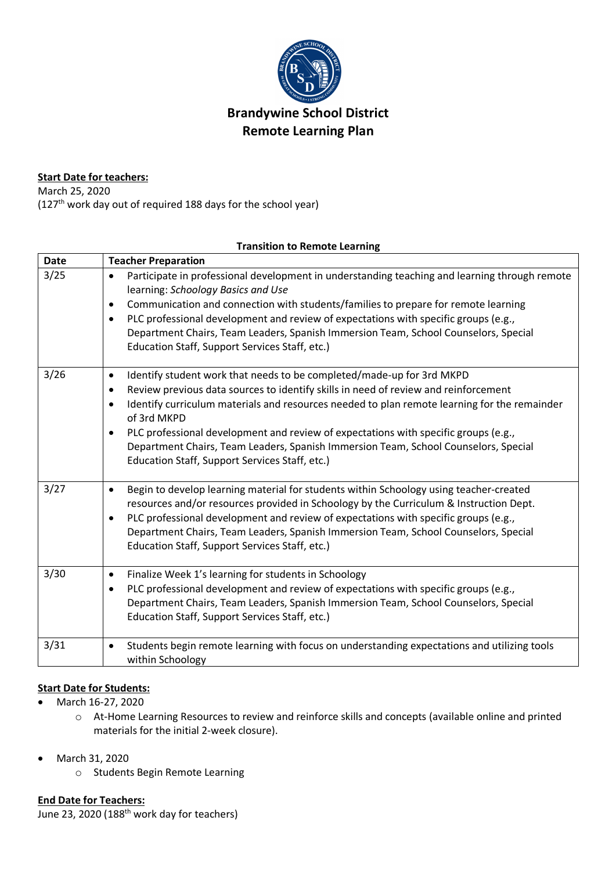

# **Brandywine School District Remote Learning Plan**

## **Start Date for teachers:**

March 25, 2020 (127th work day out of required 188 days for the school year)

#### **Transition to Remote Learning**

| <b>Date</b> | <b>Teacher Preparation</b>                                                                                                                       |
|-------------|--------------------------------------------------------------------------------------------------------------------------------------------------|
| 3/25        | Participate in professional development in understanding teaching and learning through remote<br>$\bullet$<br>learning: Schoology Basics and Use |
|             | Communication and connection with students/families to prepare for remote learning<br>$\bullet$                                                  |
|             | PLC professional development and review of expectations with specific groups (e.g.,<br>$\bullet$                                                 |
|             | Department Chairs, Team Leaders, Spanish Immersion Team, School Counselors, Special<br>Education Staff, Support Services Staff, etc.)            |
| 3/26        | Identify student work that needs to be completed/made-up for 3rd MKPD<br>$\bullet$                                                               |
|             | Review previous data sources to identify skills in need of review and reinforcement<br>$\bullet$                                                 |
|             | Identify curriculum materials and resources needed to plan remote learning for the remainder<br>$\bullet$<br>of 3rd MKPD                         |
|             | PLC professional development and review of expectations with specific groups (e.g.,<br>٠                                                         |
|             | Department Chairs, Team Leaders, Spanish Immersion Team, School Counselors, Special<br>Education Staff, Support Services Staff, etc.)            |
| 3/27        | Begin to develop learning material for students within Schoology using teacher-created<br>$\bullet$                                              |
|             | resources and/or resources provided in Schoology by the Curriculum & Instruction Dept.                                                           |
|             | PLC professional development and review of expectations with specific groups (e.g.,<br>$\bullet$                                                 |
|             | Department Chairs, Team Leaders, Spanish Immersion Team, School Counselors, Special<br>Education Staff, Support Services Staff, etc.)            |
| 3/30        | Finalize Week 1's learning for students in Schoology<br>$\bullet$                                                                                |
|             | PLC professional development and review of expectations with specific groups (e.g.,<br>$\bullet$                                                 |
|             | Department Chairs, Team Leaders, Spanish Immersion Team, School Counselors, Special<br>Education Staff, Support Services Staff, etc.)            |
| 3/31        | Students begin remote learning with focus on understanding expectations and utilizing tools<br>$\bullet$<br>within Schoology                     |

# **Start Date for Students:**

- March 16-27, 2020
	- o At-Home Learning Resources to review and reinforce skills and concepts (available online and printed materials for the initial 2-week closure).
- March 31, 2020
	- o Students Begin Remote Learning

# **End Date for Teachers:**

June 23, 2020 (188<sup>th</sup> work day for teachers)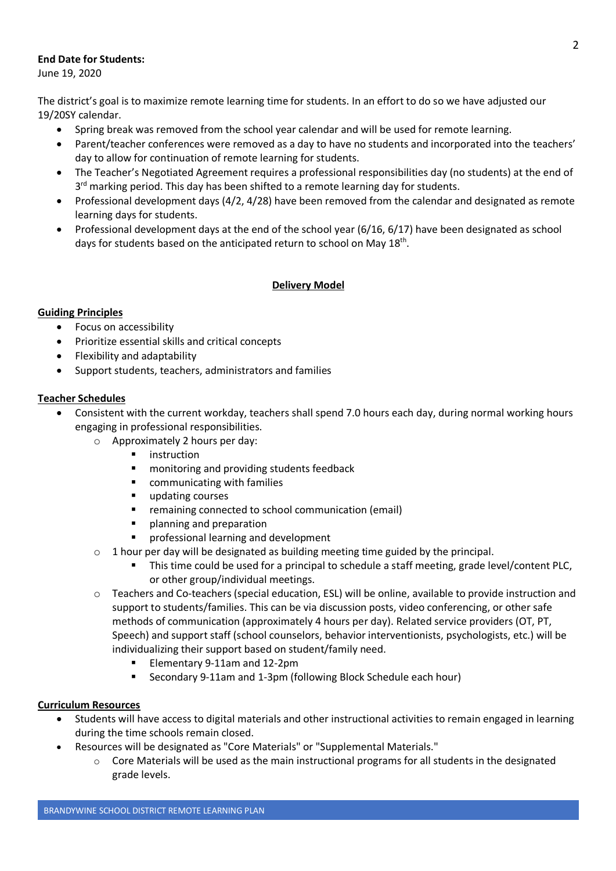## **End Date for Students:**

June 19, 2020

The district's goal is to maximize remote learning time for students. In an effort to do so we have adjusted our 19/20SY calendar.

- Spring break was removed from the school year calendar and will be used for remote learning.
- Parent/teacher conferences were removed as a day to have no students and incorporated into the teachers' day to allow for continuation of remote learning for students.
- The Teacher's Negotiated Agreement requires a professional responsibilities day (no students) at the end of 3<sup>rd</sup> marking period. This day has been shifted to a remote learning day for students.
- Professional development days (4/2, 4/28) have been removed from the calendar and designated as remote learning days for students.
- Professional development days at the end of the school year (6/16, 6/17) have been designated as school days for students based on the anticipated return to school on May 18<sup>th</sup>.

# **Delivery Model**

## **Guiding Principles**

- Focus on accessibility
- Prioritize essential skills and critical concepts
- Flexibility and adaptability
- Support students, teachers, administrators and families

# **Teacher Schedules**

- Consistent with the current workday, teachers shall spend 7.0 hours each day, during normal working hours engaging in professional responsibilities.
	- o Approximately 2 hours per day:
		- instruction
		- monitoring and providing students feedback
		- § communicating with families
		- updating courses
		- remaining connected to school communication (email)
		- § planning and preparation
		- § professional learning and development
	- $\circ$  1 hour per day will be designated as building meeting time guided by the principal.
		- This time could be used for a principal to schedule a staff meeting, grade level/content PLC, or other group/individual meetings.
	- o Teachers and Co-teachers (special education, ESL) will be online, available to provide instruction and support to students/families. This can be via discussion posts, video conferencing, or other safe methods of communication (approximately 4 hours per day). Related service providers (OT, PT, Speech) and support staff (school counselors, behavior interventionists, psychologists, etc.) will be individualizing their support based on student/family need.
		- § Elementary 9-11am and 12-2pm
		- § Secondary 9-11am and 1-3pm (following Block Schedule each hour)

## **Curriculum Resources**

- Students will have access to digital materials and other instructional activities to remain engaged in learning during the time schools remain closed.
- Resources will be designated as "Core Materials" or "Supplemental Materials."
	- $\circ$  Core Materials will be used as the main instructional programs for all students in the designated grade levels.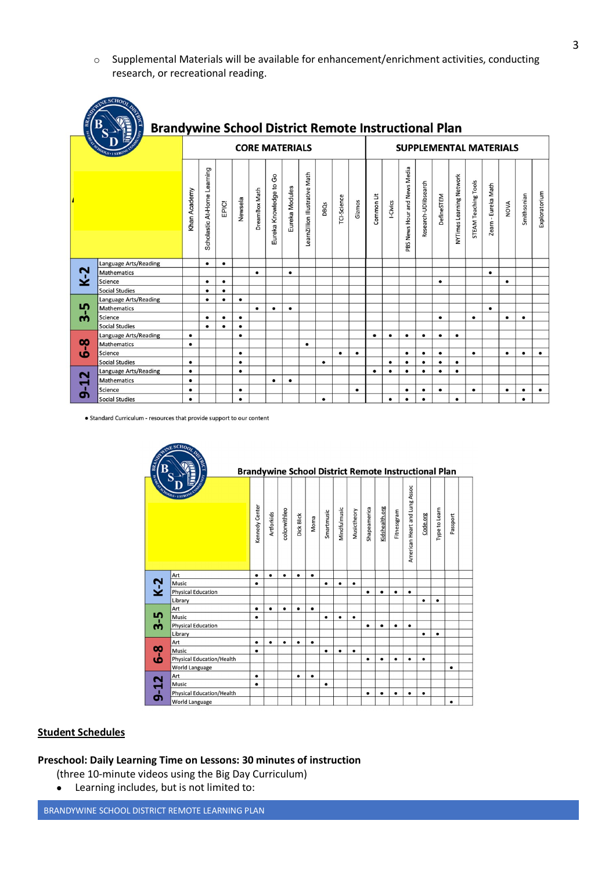o Supplemental Materials will be available for enhancement/enrichment activities, conducting research, or recreational reading.

| <b>BRA</b><br><b>ISCPN</b> | <b>NINE SCHOOL</b><br><b>Brandywine School District Remote Instructional Plan</b> |              |                             |           |           |                       |                        |                |                                |           |             |                               |            |           |                              |                      |            |                          |                             |                     |           |             |               |
|----------------------------|-----------------------------------------------------------------------------------|--------------|-----------------------------|-----------|-----------|-----------------------|------------------------|----------------|--------------------------------|-----------|-------------|-------------------------------|------------|-----------|------------------------------|----------------------|------------|--------------------------|-----------------------------|---------------------|-----------|-------------|---------------|
|                            |                                                                                   |              |                             |           |           | <b>CORE MATERIALS</b> |                        |                |                                |           |             | <b>SUPPLEMENTAL MATERIALS</b> |            |           |                              |                      |            |                          |                             |                     |           |             |               |
|                            |                                                                                   | Khan Academy | Scholastic At-Home Learning | EPIC!     | Newsela   | <b>DreamBox Math</b>  | Eureka Knowledge to Go | Eureka Modules | LearnZillion Illustrative Math | DBQs      | TCI-Science | Gizmos                        | Common Lit | I-Civics  | PBS News Hour and News Media | Research-UDlibsearch | DefineSTEM | NYTimes Learning Network | <b>STEAM Teaching Tools</b> | Zearn - Eureka Math | NOVA      | Smithsonian | Exploratorium |
|                            | Language Arts/Reading                                                             |              | $\bullet$                   | $\bullet$ |           |                       |                        |                |                                |           |             |                               |            |           |                              |                      |            |                          |                             |                     |           |             |               |
| $K-2$                      | Mathematics                                                                       |              |                             |           |           | $\bullet$             |                        | $\bullet$      |                                |           |             |                               |            |           |                              |                      |            |                          |                             | $\bullet$           |           |             |               |
|                            | Science                                                                           |              | $\bullet$                   | $\bullet$ |           |                       |                        |                |                                |           |             |                               |            |           |                              |                      |            |                          |                             |                     | $\bullet$ |             |               |
|                            | <b>Social Studies</b>                                                             |              | $\bullet$                   | $\bullet$ |           |                       |                        |                |                                |           |             |                               |            |           |                              |                      |            |                          |                             |                     |           |             |               |
|                            | Language Arts/Reading                                                             |              | $\bullet$                   | $\bullet$ | $\bullet$ |                       |                        |                |                                |           |             |                               |            |           |                              |                      |            |                          |                             |                     |           |             |               |
| Ln                         | Mathematics                                                                       |              |                             |           |           | $\bullet$             |                        | $\bullet$      |                                |           |             |                               |            |           |                              |                      |            |                          |                             | $\bullet$           |           |             |               |
| m                          | Science                                                                           |              | $\bullet$                   | $\bullet$ | $\bullet$ |                       |                        |                |                                |           |             |                               |            |           |                              |                      | $\bullet$  |                          | ٠                           |                     | $\bullet$ |             |               |
|                            | <b>Social Studies</b>                                                             |              | $\bullet$                   | $\bullet$ | $\bullet$ |                       |                        |                |                                |           |             |                               |            |           |                              |                      |            |                          |                             |                     |           |             |               |
|                            | <b>Language Arts/Reading</b>                                                      | $\bullet$    |                             |           | $\bullet$ |                       |                        |                |                                |           |             |                               | $\bullet$  | $\bullet$ | $\bullet$                    | $\bullet$            | $\bullet$  | $\bullet$                |                             |                     |           |             |               |
| <u>ထို</u><br><b>SC</b>    | Mathematics                                                                       | $\bullet$    |                             |           |           |                       |                        |                | $\bullet$                      |           |             |                               |            |           |                              |                      |            |                          |                             |                     |           |             |               |
|                            | Science                                                                           |              |                             |           | $\bullet$ |                       |                        |                |                                |           | $\bullet$   | $\bullet$                     |            |           | $\bullet$                    | $\bullet$            | $\bullet$  |                          | $\bullet$                   |                     | $\bullet$ |             | $\bullet$     |
|                            | <b>Social Studies</b>                                                             | $\bullet$    |                             |           | $\bullet$ |                       |                        |                |                                | $\bullet$ |             |                               |            | $\bullet$ | $\bullet$                    | $\bullet$            | $\bullet$  | $\bullet$                |                             |                     |           |             |               |
|                            | Language Arts/Reading                                                             | $\bullet$    |                             |           | $\bullet$ |                       |                        |                |                                |           |             |                               | $\bullet$  | $\bullet$ | $\bullet$                    | $\bullet$            |            | $\bullet$                |                             |                     |           |             |               |
| $\mathbf{r}$               | Mathematics                                                                       | $\bullet$    |                             |           |           |                       |                        | $\bullet$      |                                |           |             |                               |            |           |                              |                      |            |                          |                             |                     |           |             |               |
| Ⴛ                          | Science                                                                           |              |                             |           | $\bullet$ |                       |                        |                |                                |           |             | $\bullet$                     |            |           | $\bullet$                    | $\bullet$            | $\bullet$  |                          | $\bullet$                   |                     | $\bullet$ | $\bullet$   | $\bullet$     |
|                            | <b>Social Studies</b>                                                             | $\bullet$    |                             |           | $\bullet$ |                       |                        |                |                                | $\bullet$ |             |                               |            | $\bullet$ | $\bullet$                    | $\bullet$            |            | $\bullet$                |                             |                     |           |             |               |

• Standard Curriculum - resources that provide support to our content

|              | RIVER                            | <b>Brandywine School District Remote Instructional Plan</b> |            |              |            |           |            |              |             |              |                |             |                               |           |               |           |  |
|--------------|----------------------------------|-------------------------------------------------------------|------------|--------------|------------|-----------|------------|--------------|-------------|--------------|----------------|-------------|-------------------------------|-----------|---------------|-----------|--|
| <b>IGORY</b> | OLS. ISTRO                       | Kennedy Center                                              | Artforkids | colorwithleo | Dick Blick | Moma      | Smartmusic | Mindfulmusic | Musictheory | Shapeamerica | Kidshealth.org | Fitnessgram | American Heart and Lung Assoc | Code.org  | Type to Learn | Passport  |  |
|              | Art                              | $\bullet$                                                   | $\bullet$  | $\bullet$    | $\bullet$  | $\bullet$ |            |              |             |              |                |             |                               |           |               |           |  |
| $K-2$        | Music                            | $\bullet$                                                   |            |              |            |           | $\bullet$  | $\bullet$    | $\bullet$   |              |                |             |                               |           |               |           |  |
|              | <b>Physical Education</b>        |                                                             |            |              |            |           |            |              |             | $\bullet$    | $\bullet$      | $\bullet$   | $\bullet$                     |           |               |           |  |
|              | Library                          |                                                             |            |              |            |           |            |              |             |              |                |             |                               | $\bullet$ | $\bullet$     |           |  |
|              | Art                              | $\bullet$                                                   | $\bullet$  | $\bullet$    |            | $\bullet$ |            |              |             |              |                |             |                               |           |               |           |  |
| 5            | Music                            | $\bullet$                                                   |            |              |            |           | $\bullet$  | $\bullet$    | $\bullet$   |              |                |             |                               |           |               |           |  |
| ന്           | <b>Physical Education</b>        |                                                             |            |              |            |           |            |              |             | ٠            | $\bullet$      | $\bullet$   |                               |           |               |           |  |
|              | Library                          |                                                             |            |              |            |           |            |              |             |              |                |             |                               | $\bullet$ | $\bullet$     |           |  |
|              | Art                              | $\bullet$                                                   | ٠          | $\bullet$    | ٠          | $\bullet$ |            |              |             |              |                |             |                               |           |               |           |  |
| $\infty$     | Music                            | ٠                                                           |            |              |            |           | $\bullet$  | $\bullet$    | ٠           |              |                |             |                               |           |               |           |  |
| هٰ           | <b>Physical Education/Health</b> |                                                             |            |              |            |           |            |              |             | $\bullet$    | $\bullet$      | $\bullet$   | $\bullet$                     | $\bullet$ |               |           |  |
|              | <b>World Language</b>            |                                                             |            |              |            |           |            |              |             |              |                |             |                               |           |               | $\bullet$ |  |
|              | Art                              | $\bullet$                                                   |            |              |            | $\bullet$ |            |              |             |              |                |             |                               |           |               |           |  |
|              | Music                            | $\bullet$                                                   |            |              |            |           | $\bullet$  |              |             |              |                |             |                               |           |               |           |  |
| $9 - 12$     | <b>Physical Education/Health</b> |                                                             |            |              |            |           |            |              |             | $\bullet$    | ٠              | $\bullet$   | $\bullet$                     | ٠         |               |           |  |
|              | <b>World Language</b>            |                                                             |            |              |            |           |            |              |             |              |                |             |                               |           |               | $\bullet$ |  |

#### **Student Schedules**

#### **Preschool: Daily Learning Time on Lessons: 30 minutes of instruction**

(three 10-minute videos using the Big Day Curriculum)

• Learning includes, but is not limited to: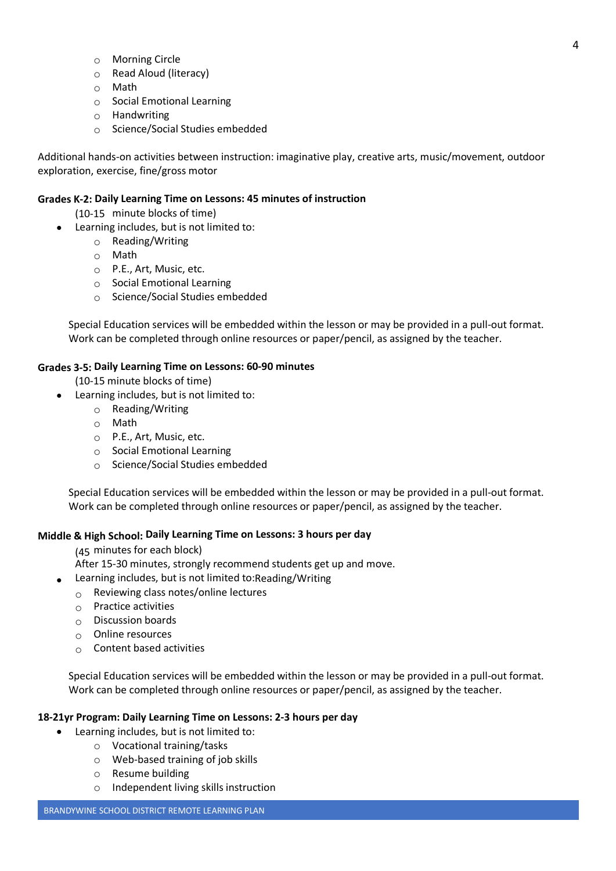- o Morning Circle
- o Read Aloud (literacy)
- o Math
- o Social Emotional Learning
- o Handwriting
- o Science/Social Studies embedded

Additional hands-on activities between instruction: imaginative play, creative arts, music/movement, outdoor exploration, exercise, fine/gross motor

#### **Grades K-2: Daily Learning Time on Lessons: 45 minutes of instruction**

- (10-15 minute blocks of time)
- Learning includes, but is not limited to:
	- o Reading/Writing
	- o Math
	- $\circ$  P.E., Art, Music, etc.
	- o Social Emotional Learning
	- o Science/Social Studies embedded

Special Education services will be embedded within the lesson or may be provided in a pull-out format. Work can be completed through online resources or paper/pencil, as assigned by the teacher.

## **Grades 3-5: Daily Learning Time on Lessons: 60-90 minutes**

(10-15 minute blocks of time)

- Learning includes, but is not limited to:
	- o Reading/Writing
	- o Math
	- o P.E., Art, Music, etc.
	- o Social Emotional Learning
	- o Science/Social Studies embedded

Special Education services will be embedded within the lesson or may be provided in a pull-out format. Work can be completed through online resources or paper/pencil, as assigned by the teacher.

## **Middle & High School: Daily Learning Time on Lessons: 3 hours per day**

(45 minutes for each block)

After 15-30 minutes, strongly recommend students get up and move.

- Learning includes, but is not limited to:Reading/Writing
- $\circ$  Reviewing class notes/online lectures
- $\circ$  Practice activities
- $\circ$  Discussion boards
- $\circ$  Online resources
- $\circ$  Content based activities

Special Education services will be embedded within the lesson or may be provided in a pull-out format. Work can be completed through online resources or paper/pencil, as assigned by the teacher.

#### **18-21yr Program: Daily Learning Time on Lessons: 2-3 hours per day**

- Learning includes, but is not limited to:
	- o Vocational training/tasks
	- o Web-based training of job skills
	- o Resume building
	- o Independent living skills instruction